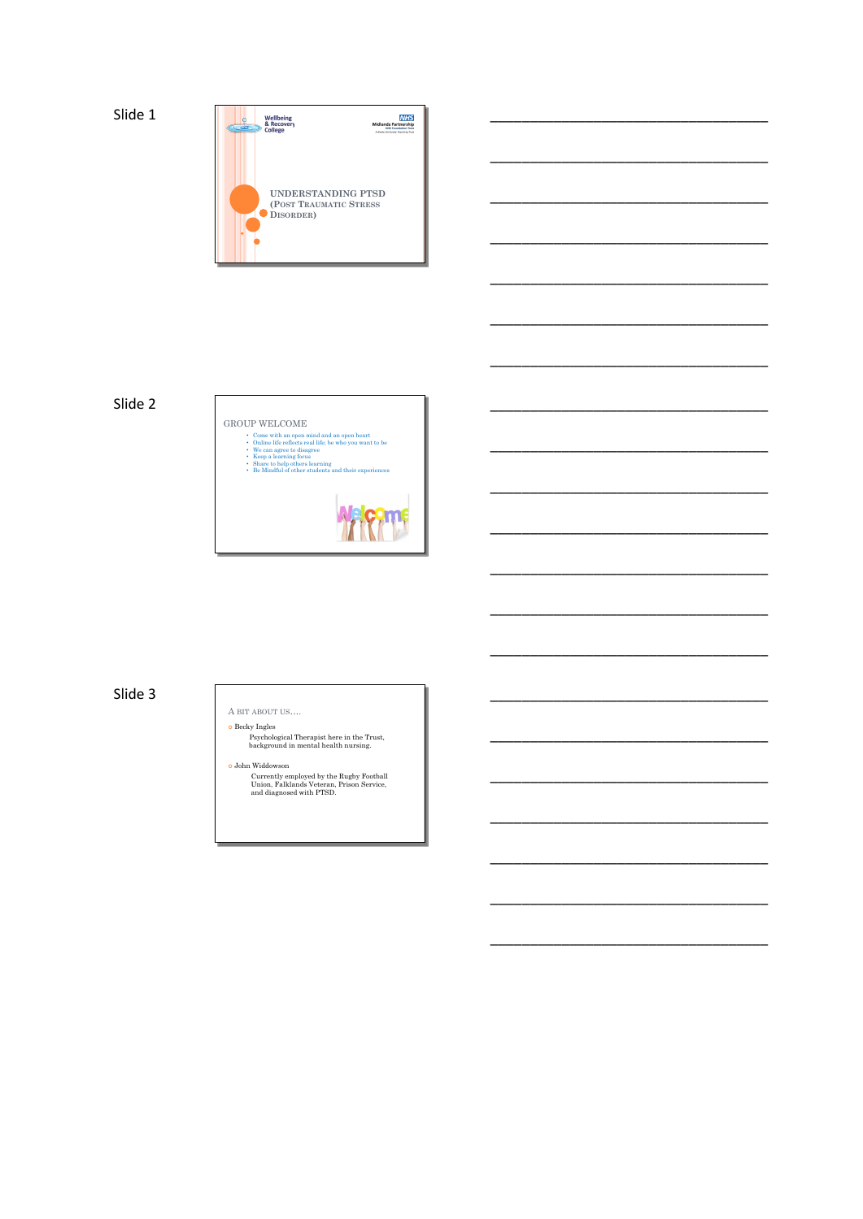

\_\_\_\_\_\_\_\_\_\_\_\_\_\_\_\_\_\_\_\_\_\_\_\_\_\_\_\_\_\_\_\_\_\_\_

\_\_\_\_\_\_\_\_\_\_\_\_\_\_\_\_\_\_\_\_\_\_\_\_\_\_\_\_\_\_\_\_\_\_\_

\_\_\_\_\_\_\_\_\_\_\_\_\_\_\_\_\_\_\_\_\_\_\_\_\_\_\_\_\_\_\_\_\_\_\_

\_\_\_\_\_\_\_\_\_\_\_\_\_\_\_\_\_\_\_\_\_\_\_\_\_\_\_\_\_\_\_\_\_\_\_

\_\_\_\_\_\_\_\_\_\_\_\_\_\_\_\_\_\_\_\_\_\_\_\_\_\_\_\_\_\_\_\_\_\_\_

\_\_\_\_\_\_\_\_\_\_\_\_\_\_\_\_\_\_\_\_\_\_\_\_\_\_\_\_\_\_\_\_\_\_\_

\_\_\_\_\_\_\_\_\_\_\_\_\_\_\_\_\_\_\_\_\_\_\_\_\_\_\_\_\_\_\_\_\_\_\_

\_\_\_\_\_\_\_\_\_\_\_\_\_\_\_\_\_\_\_\_\_\_\_\_\_\_\_\_\_\_\_\_\_\_\_

\_\_\_\_\_\_\_\_\_\_\_\_\_\_\_\_\_\_\_\_\_\_\_\_\_\_\_\_\_\_\_\_\_\_\_

\_\_\_\_\_\_\_\_\_\_\_\_\_\_\_\_\_\_\_\_\_\_\_\_\_\_\_\_\_\_\_\_\_\_\_

\_\_\_\_\_\_\_\_\_\_\_\_\_\_\_\_\_\_\_\_\_\_\_\_\_\_\_\_\_\_\_\_\_\_\_

\_\_\_\_\_\_\_\_\_\_\_\_\_\_\_\_\_\_\_\_\_\_\_\_\_\_\_\_\_\_\_\_\_\_\_

\_\_\_\_\_\_\_\_\_\_\_\_\_\_\_\_\_\_\_\_\_\_\_\_\_\_\_\_\_\_\_\_\_\_\_

\_\_\_\_\_\_\_\_\_\_\_\_\_\_\_\_\_\_\_\_\_\_\_\_\_\_\_\_\_\_\_\_\_\_\_

\_\_\_\_\_\_\_\_\_\_\_\_\_\_\_\_\_\_\_\_\_\_\_\_\_\_\_\_\_\_\_\_\_\_\_

\_\_\_\_\_\_\_\_\_\_\_\_\_\_\_\_\_\_\_\_\_\_\_\_\_\_\_\_\_\_\_\_\_\_\_

\_\_\_\_\_\_\_\_\_\_\_\_\_\_\_\_\_\_\_\_\_\_\_\_\_\_\_\_\_\_\_\_\_\_\_

\_\_\_\_\_\_\_\_\_\_\_\_\_\_\_\_\_\_\_\_\_\_\_\_\_\_\_\_\_\_\_\_\_\_\_



## Slide 3 \_\_\_\_\_\_\_\_\_\_\_\_\_\_\_\_\_\_\_\_\_\_\_\_\_\_\_\_\_\_\_\_\_\_\_

A BIT ABOUT US….  $\bullet$  Becky Ingles

Psychological Therapist here in the Trust, background in mental health nursing.

¢ John Widdowson Currently employed by the Rugby Football Union, Falklands Veteran, Prison Service, and diagnosed with PTSD.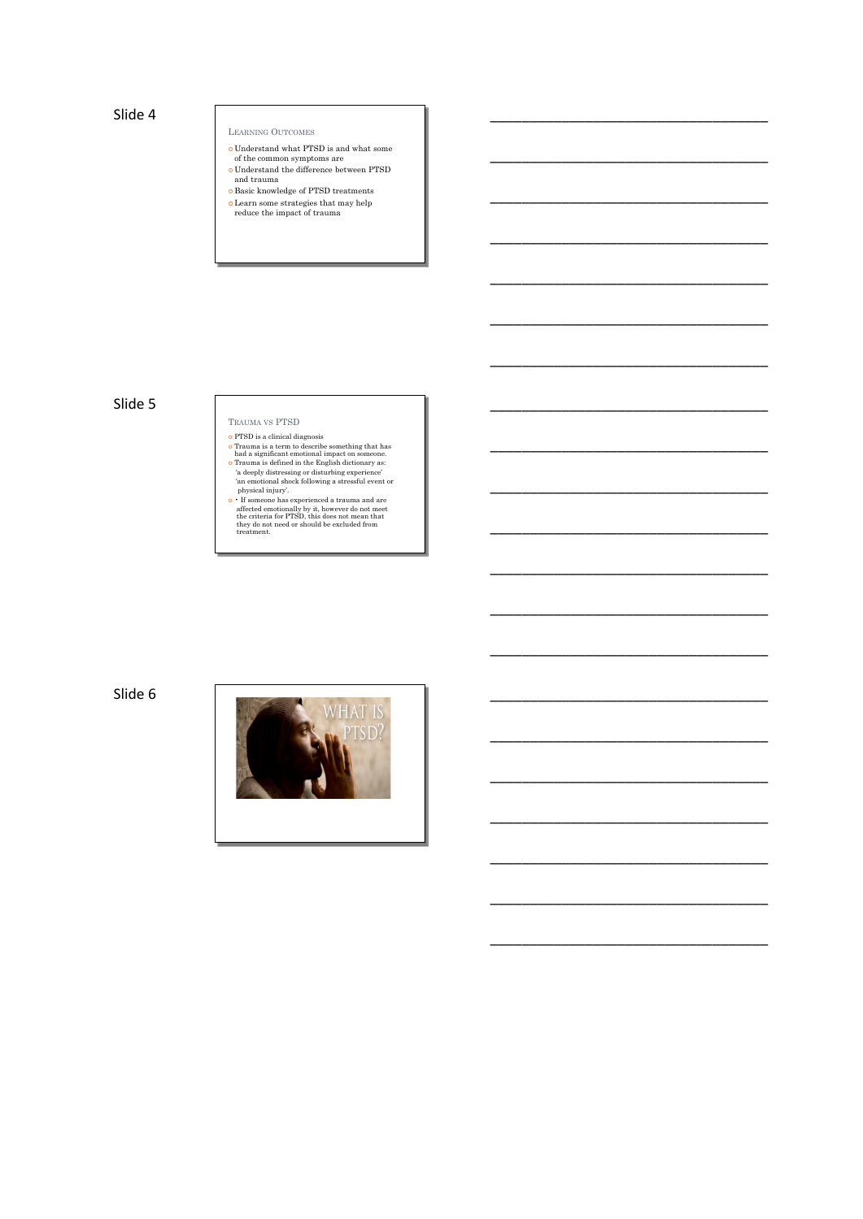## Slide 4 \_\_\_\_\_\_\_\_\_\_\_\_\_\_\_\_\_\_\_\_\_\_\_\_\_\_\_\_\_\_\_\_\_\_\_

### LEARNING OUTCOMES

- 
- ¢ Understand what PTSD is and what some of the common symptoms are ¢ Understand the difference between PTSD and trauma

\_\_\_\_\_\_\_\_\_\_\_\_\_\_\_\_\_\_\_\_\_\_\_\_\_\_\_\_\_\_\_\_\_\_\_

\_\_\_\_\_\_\_\_\_\_\_\_\_\_\_\_\_\_\_\_\_\_\_\_\_\_\_\_\_\_\_\_\_\_\_

\_\_\_\_\_\_\_\_\_\_\_\_\_\_\_\_\_\_\_\_\_\_\_\_\_\_\_\_\_\_\_\_\_\_\_

\_\_\_\_\_\_\_\_\_\_\_\_\_\_\_\_\_\_\_\_\_\_\_\_\_\_\_\_\_\_\_\_\_\_\_

\_\_\_\_\_\_\_\_\_\_\_\_\_\_\_\_\_\_\_\_\_\_\_\_\_\_\_\_\_\_\_\_\_\_\_

\_\_\_\_\_\_\_\_\_\_\_\_\_\_\_\_\_\_\_\_\_\_\_\_\_\_\_\_\_\_\_\_\_\_\_

\_\_\_\_\_\_\_\_\_\_\_\_\_\_\_\_\_\_\_\_\_\_\_\_\_\_\_\_\_\_\_\_\_\_\_

\_\_\_\_\_\_\_\_\_\_\_\_\_\_\_\_\_\_\_\_\_\_\_\_\_\_\_\_\_\_\_\_\_\_\_

\_\_\_\_\_\_\_\_\_\_\_\_\_\_\_\_\_\_\_\_\_\_\_\_\_\_\_\_\_\_\_\_\_\_\_

\_\_\_\_\_\_\_\_\_\_\_\_\_\_\_\_\_\_\_\_\_\_\_\_\_\_\_\_\_\_\_\_\_\_\_

\_\_\_\_\_\_\_\_\_\_\_\_\_\_\_\_\_\_\_\_\_\_\_\_\_\_\_\_\_\_\_\_\_\_\_

\_\_\_\_\_\_\_\_\_\_\_\_\_\_\_\_\_\_\_\_\_\_\_\_\_\_\_\_\_\_\_\_\_\_\_

\_\_\_\_\_\_\_\_\_\_\_\_\_\_\_\_\_\_\_\_\_\_\_\_\_\_\_\_\_\_\_\_\_\_\_

\_\_\_\_\_\_\_\_\_\_\_\_\_\_\_\_\_\_\_\_\_\_\_\_\_\_\_\_\_\_\_\_\_\_\_

\_\_\_\_\_\_\_\_\_\_\_\_\_\_\_\_\_\_\_\_\_\_\_\_\_\_\_\_\_\_\_\_\_\_\_

\_\_\_\_\_\_\_\_\_\_\_\_\_\_\_\_\_\_\_\_\_\_\_\_\_\_\_\_\_\_\_\_\_\_\_

\_\_\_\_\_\_\_\_\_\_\_\_\_\_\_\_\_\_\_\_\_\_\_\_\_\_\_\_\_\_\_\_\_\_\_

\_\_\_\_\_\_\_\_\_\_\_\_\_\_\_\_\_\_\_\_\_\_\_\_\_\_\_\_\_\_\_\_\_\_\_

¢ Basic knowledge of PTSD treatments

¢ Learn some strategies that may help reduce the impact of trauma

## Slide 5 \_\_\_\_\_\_\_\_\_\_\_\_\_\_\_\_\_\_\_\_\_\_\_\_\_\_\_\_\_\_\_\_\_\_\_

# TRAUMA VS PTSD

- 
- 
- o PTSD is a clinical diagnosis<br>of concerning that has concluded a significant motional impact on some<br>one. Trauma is a defined in the English dictionary as:<br>Trauma is defined in the English dictionary as:<br>The deeply distr

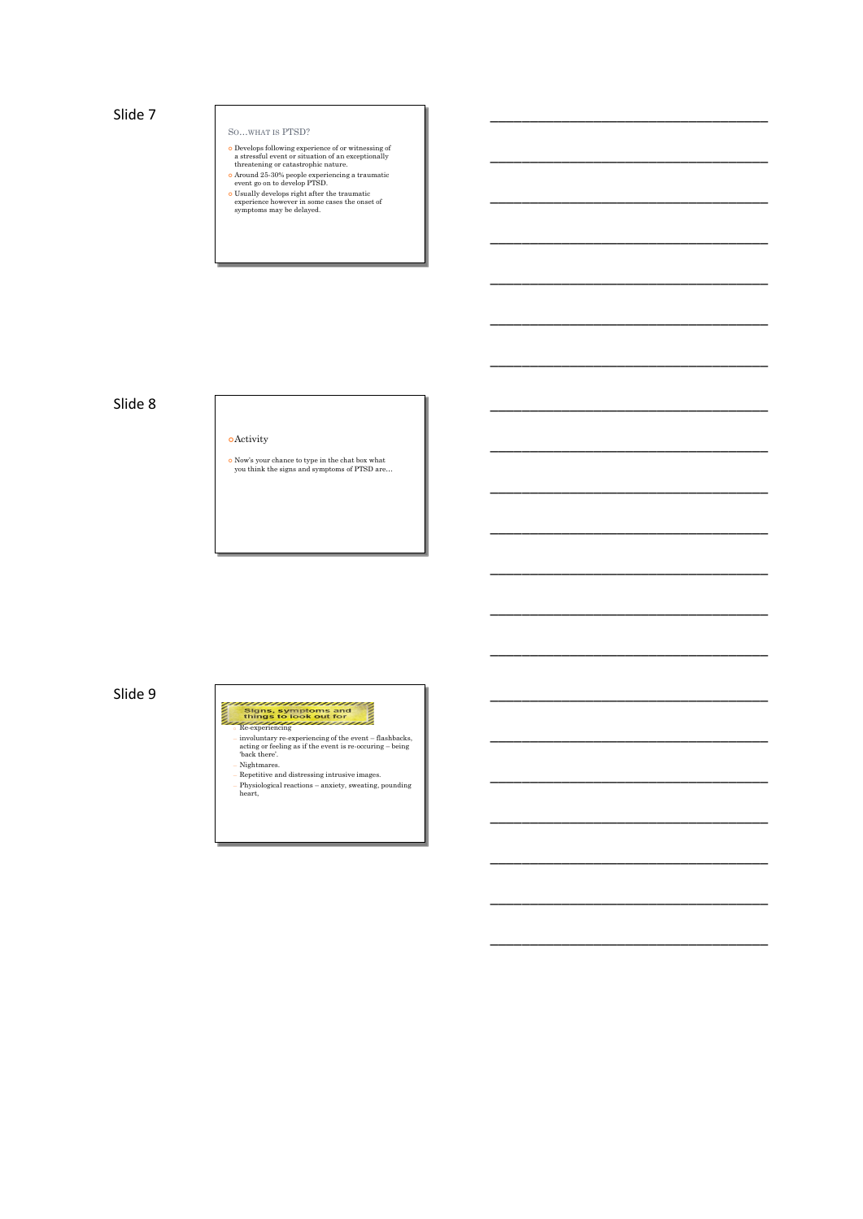## Slide 7 \_\_\_\_\_\_\_\_\_\_\_\_\_\_\_\_\_\_\_\_\_\_\_\_\_\_\_\_\_\_\_\_\_\_\_

## SO…WHAT IS PTSD?

 $\alpha$  Develops following experience of or witnessing of<br>a restsful event or situation of an exceptionally<br>threatening or catastrophic nature.<br> $\alpha$  Around 25-30% people experiencing a traumatic<br>event go on to develop PTSD.<br>

\_\_\_\_\_\_\_\_\_\_\_\_\_\_\_\_\_\_\_\_\_\_\_\_\_\_\_\_\_\_\_\_\_\_\_

\_\_\_\_\_\_\_\_\_\_\_\_\_\_\_\_\_\_\_\_\_\_\_\_\_\_\_\_\_\_\_\_\_\_\_

\_\_\_\_\_\_\_\_\_\_\_\_\_\_\_\_\_\_\_\_\_\_\_\_\_\_\_\_\_\_\_\_\_\_\_

\_\_\_\_\_\_\_\_\_\_\_\_\_\_\_\_\_\_\_\_\_\_\_\_\_\_\_\_\_\_\_\_\_\_\_

\_\_\_\_\_\_\_\_\_\_\_\_\_\_\_\_\_\_\_\_\_\_\_\_\_\_\_\_\_\_\_\_\_\_\_

\_\_\_\_\_\_\_\_\_\_\_\_\_\_\_\_\_\_\_\_\_\_\_\_\_\_\_\_\_\_\_\_\_\_\_

\_\_\_\_\_\_\_\_\_\_\_\_\_\_\_\_\_\_\_\_\_\_\_\_\_\_\_\_\_\_\_\_\_\_\_

\_\_\_\_\_\_\_\_\_\_\_\_\_\_\_\_\_\_\_\_\_\_\_\_\_\_\_\_\_\_\_\_\_\_\_

\_\_\_\_\_\_\_\_\_\_\_\_\_\_\_\_\_\_\_\_\_\_\_\_\_\_\_\_\_\_\_\_\_\_\_

\_\_\_\_\_\_\_\_\_\_\_\_\_\_\_\_\_\_\_\_\_\_\_\_\_\_\_\_\_\_\_\_\_\_\_

\_\_\_\_\_\_\_\_\_\_\_\_\_\_\_\_\_\_\_\_\_\_\_\_\_\_\_\_\_\_\_\_\_\_\_

\_\_\_\_\_\_\_\_\_\_\_\_\_\_\_\_\_\_\_\_\_\_\_\_\_\_\_\_\_\_\_\_\_\_\_

\_\_\_\_\_\_\_\_\_\_\_\_\_\_\_\_\_\_\_\_\_\_\_\_\_\_\_\_\_\_\_\_\_\_\_

\_\_\_\_\_\_\_\_\_\_\_\_\_\_\_\_\_\_\_\_\_\_\_\_\_\_\_\_\_\_\_\_\_\_\_

\_\_\_\_\_\_\_\_\_\_\_\_\_\_\_\_\_\_\_\_\_\_\_\_\_\_\_\_\_\_\_\_\_\_\_

\_\_\_\_\_\_\_\_\_\_\_\_\_\_\_\_\_\_\_\_\_\_\_\_\_\_\_\_\_\_\_\_\_\_\_

\_\_\_\_\_\_\_\_\_\_\_\_\_\_\_\_\_\_\_\_\_\_\_\_\_\_\_\_\_\_\_\_\_\_\_

\_\_\_\_\_\_\_\_\_\_\_\_\_\_\_\_\_\_\_\_\_\_\_\_\_\_\_\_\_\_\_\_\_\_\_

- 
- 

## Slide 8 \_\_\_\_\_\_\_\_\_\_\_\_\_\_\_\_\_\_\_\_\_\_\_\_\_\_\_\_\_\_\_\_\_\_\_

¢Activity

¢ Now's your chance to type in the chat box what you think the signs and symptoms of PTSD are…

## Slide 9 \_\_\_\_\_\_\_\_\_\_\_\_\_\_\_\_\_\_\_\_\_\_\_\_\_\_\_\_\_\_\_\_\_\_\_

- $\,$  Re-experiencing<br>  $\,$  in Wolumtary re-experiencing of the event flashbacks, acting or feeling as if the event is re-occuring being<br>  $\,$  back there".<br>  $\,$  Dack there".<br>  $\,$  Nightmares.<br>  $\,$  Nightmares.<br>  $\,$  R
- 
-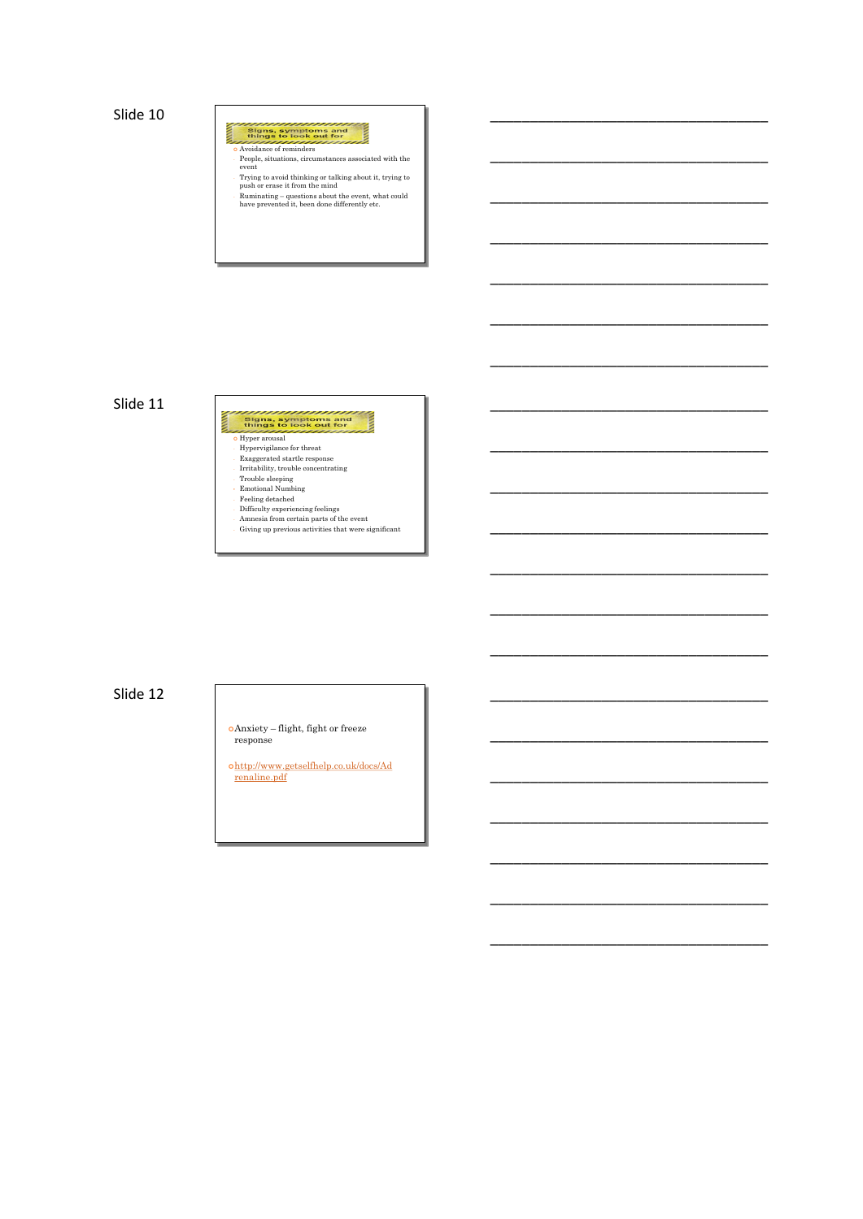Slide 10 \_\_\_\_\_\_\_\_\_\_\_\_\_\_\_\_\_\_\_\_\_\_\_\_\_\_\_\_\_\_\_\_\_\_\_

**Express symptoms and things to look out for**<br>things to look out for<br>**CAVOIDADERS OF PROPERTY AT A** 

- People, situations, circumstances associated with the event

Ē

\_\_\_\_\_\_\_\_\_\_\_\_\_\_\_\_\_\_\_\_\_\_\_\_\_\_\_\_\_\_\_\_\_\_\_

\_\_\_\_\_\_\_\_\_\_\_\_\_\_\_\_\_\_\_\_\_\_\_\_\_\_\_\_\_\_\_\_\_\_\_

\_\_\_\_\_\_\_\_\_\_\_\_\_\_\_\_\_\_\_\_\_\_\_\_\_\_\_\_\_\_\_\_\_\_\_

\_\_\_\_\_\_\_\_\_\_\_\_\_\_\_\_\_\_\_\_\_\_\_\_\_\_\_\_\_\_\_\_\_\_\_

\_\_\_\_\_\_\_\_\_\_\_\_\_\_\_\_\_\_\_\_\_\_\_\_\_\_\_\_\_\_\_\_\_\_\_

\_\_\_\_\_\_\_\_\_\_\_\_\_\_\_\_\_\_\_\_\_\_\_\_\_\_\_\_\_\_\_\_\_\_\_

\_\_\_\_\_\_\_\_\_\_\_\_\_\_\_\_\_\_\_\_\_\_\_\_\_\_\_\_\_\_\_\_\_\_\_

\_\_\_\_\_\_\_\_\_\_\_\_\_\_\_\_\_\_\_\_\_\_\_\_\_\_\_\_\_\_\_\_\_\_\_

\_\_\_\_\_\_\_\_\_\_\_\_\_\_\_\_\_\_\_\_\_\_\_\_\_\_\_\_\_\_\_\_\_\_\_

\_\_\_\_\_\_\_\_\_\_\_\_\_\_\_\_\_\_\_\_\_\_\_\_\_\_\_\_\_\_\_\_\_\_\_

\_\_\_\_\_\_\_\_\_\_\_\_\_\_\_\_\_\_\_\_\_\_\_\_\_\_\_\_\_\_\_\_\_\_\_

\_\_\_\_\_\_\_\_\_\_\_\_\_\_\_\_\_\_\_\_\_\_\_\_\_\_\_\_\_\_\_\_\_\_\_

\_\_\_\_\_\_\_\_\_\_\_\_\_\_\_\_\_\_\_\_\_\_\_\_\_\_\_\_\_\_\_\_\_\_\_

\_\_\_\_\_\_\_\_\_\_\_\_\_\_\_\_\_\_\_\_\_\_\_\_\_\_\_\_\_\_\_\_\_\_\_

\_\_\_\_\_\_\_\_\_\_\_\_\_\_\_\_\_\_\_\_\_\_\_\_\_\_\_\_\_\_\_\_\_\_\_

\_\_\_\_\_\_\_\_\_\_\_\_\_\_\_\_\_\_\_\_\_\_\_\_\_\_\_\_\_\_\_\_\_\_\_

\_\_\_\_\_\_\_\_\_\_\_\_\_\_\_\_\_\_\_\_\_\_\_\_\_\_\_\_\_\_\_\_\_\_\_

\_\_\_\_\_\_\_\_\_\_\_\_\_\_\_\_\_\_\_\_\_\_\_\_\_\_\_\_\_\_\_\_\_\_\_

- Trying to avoid thinking or talking about it, trying to push or erase it from the mind - Ruminating – questions about the event, what could have prevented it, been done differently etc.

## Slide 11 \_\_\_\_\_\_\_\_\_\_\_\_\_\_\_\_\_\_\_\_\_\_\_\_\_\_\_\_\_\_\_\_\_\_\_

¢ Hyper arousal - Hypervigilance for threat

- Exaggerated startle response - Irritability, trouble concentrating

- Trouble sleeping • Emotional Numbing - Feeling detached - Difficulty experiencing feelings - Amnesia from certain parts of the event - Giving up previous activities that were significant

## Slide 12 \_\_\_\_\_\_\_\_\_\_\_\_\_\_\_\_\_\_\_\_\_\_\_\_\_\_\_\_\_\_\_\_\_\_\_

¢Anxiety – flight, fight or freeze response

¢http://www.getselfhelp.co.uk/docs/Ad renaline.pdf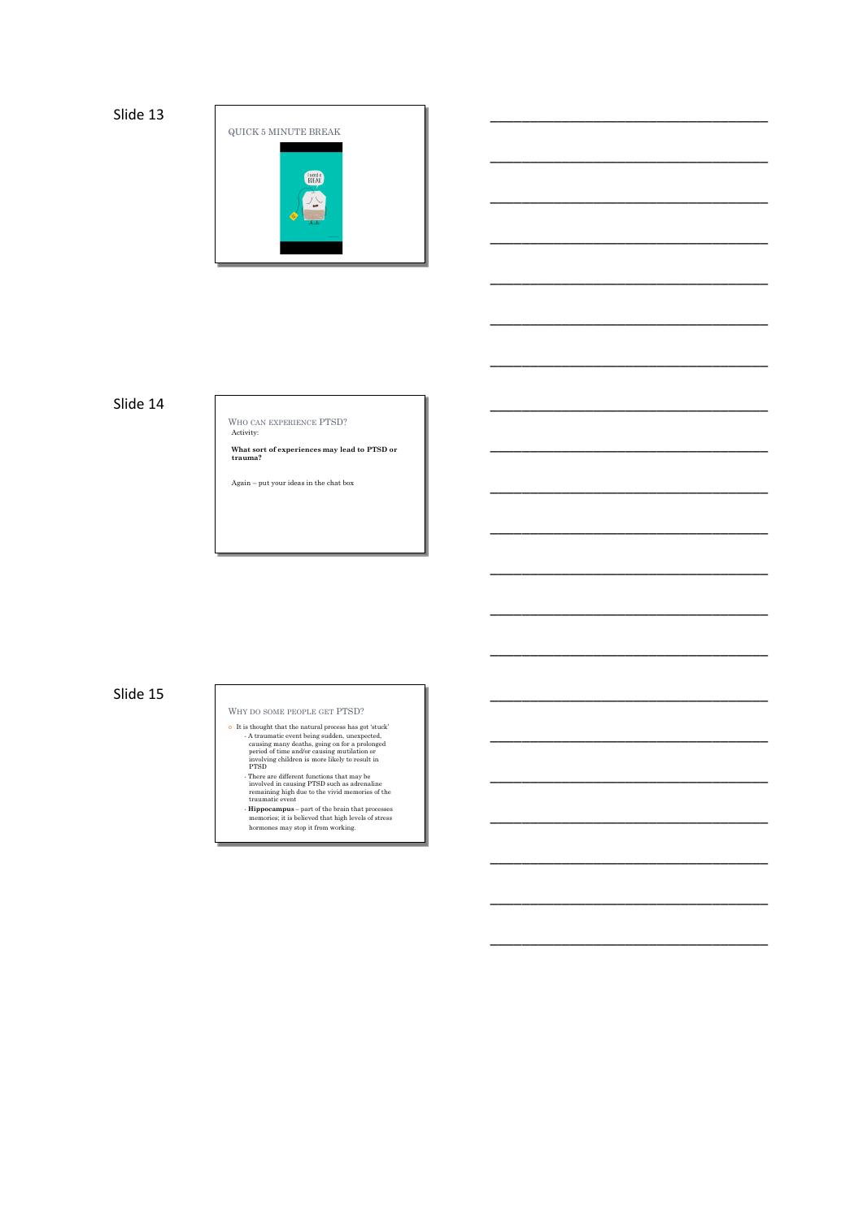

\_\_\_\_\_\_\_\_\_\_\_\_\_\_\_\_\_\_\_\_\_\_\_\_\_\_\_\_\_\_\_\_\_\_\_

\_\_\_\_\_\_\_\_\_\_\_\_\_\_\_\_\_\_\_\_\_\_\_\_\_\_\_\_\_\_\_\_\_\_\_

\_\_\_\_\_\_\_\_\_\_\_\_\_\_\_\_\_\_\_\_\_\_\_\_\_\_\_\_\_\_\_\_\_\_\_

\_\_\_\_\_\_\_\_\_\_\_\_\_\_\_\_\_\_\_\_\_\_\_\_\_\_\_\_\_\_\_\_\_\_\_

\_\_\_\_\_\_\_\_\_\_\_\_\_\_\_\_\_\_\_\_\_\_\_\_\_\_\_\_\_\_\_\_\_\_\_

\_\_\_\_\_\_\_\_\_\_\_\_\_\_\_\_\_\_\_\_\_\_\_\_\_\_\_\_\_\_\_\_\_\_\_

\_\_\_\_\_\_\_\_\_\_\_\_\_\_\_\_\_\_\_\_\_\_\_\_\_\_\_\_\_\_\_\_\_\_\_

\_\_\_\_\_\_\_\_\_\_\_\_\_\_\_\_\_\_\_\_\_\_\_\_\_\_\_\_\_\_\_\_\_\_\_

\_\_\_\_\_\_\_\_\_\_\_\_\_\_\_\_\_\_\_\_\_\_\_\_\_\_\_\_\_\_\_\_\_\_\_

\_\_\_\_\_\_\_\_\_\_\_\_\_\_\_\_\_\_\_\_\_\_\_\_\_\_\_\_\_\_\_\_\_\_\_

\_\_\_\_\_\_\_\_\_\_\_\_\_\_\_\_\_\_\_\_\_\_\_\_\_\_\_\_\_\_\_\_\_\_\_

\_\_\_\_\_\_\_\_\_\_\_\_\_\_\_\_\_\_\_\_\_\_\_\_\_\_\_\_\_\_\_\_\_\_\_

\_\_\_\_\_\_\_\_\_\_\_\_\_\_\_\_\_\_\_\_\_\_\_\_\_\_\_\_\_\_\_\_\_\_\_

\_\_\_\_\_\_\_\_\_\_\_\_\_\_\_\_\_\_\_\_\_\_\_\_\_\_\_\_\_\_\_\_\_\_\_

\_\_\_\_\_\_\_\_\_\_\_\_\_\_\_\_\_\_\_\_\_\_\_\_\_\_\_\_\_\_\_\_\_\_\_

\_\_\_\_\_\_\_\_\_\_\_\_\_\_\_\_\_\_\_\_\_\_\_\_\_\_\_\_\_\_\_\_\_\_\_

\_\_\_\_\_\_\_\_\_\_\_\_\_\_\_\_\_\_\_\_\_\_\_\_\_\_\_\_\_\_\_\_\_\_\_

\_\_\_\_\_\_\_\_\_\_\_\_\_\_\_\_\_\_\_\_\_\_\_\_\_\_\_\_\_\_\_\_\_\_\_

## Slide 14 \_\_\_\_\_\_\_\_\_\_\_\_\_\_\_\_\_\_\_\_\_\_\_\_\_\_\_\_\_\_\_\_\_\_\_

WHO CAN EXPERIENCE PTSD? Activity:

**What sort of experiences may lead to PTSD or trauma?**

Again – put your ideas in the chat box

## Slide 15 \_\_\_\_\_\_\_\_\_\_\_\_\_\_\_\_\_\_\_\_\_\_\_\_\_\_\_\_\_\_\_\_\_\_\_

WHY DO SOME PEOPLE GET PTSD?

- It is thought that the natural process has got 'stuck'<br>
A traunantic event being sudden, unexpected,<br>
causing many deaths, going on for a prolonged<br>
period of time and/or casing mutulistion or<br>
involving children is more
	-
	-
	-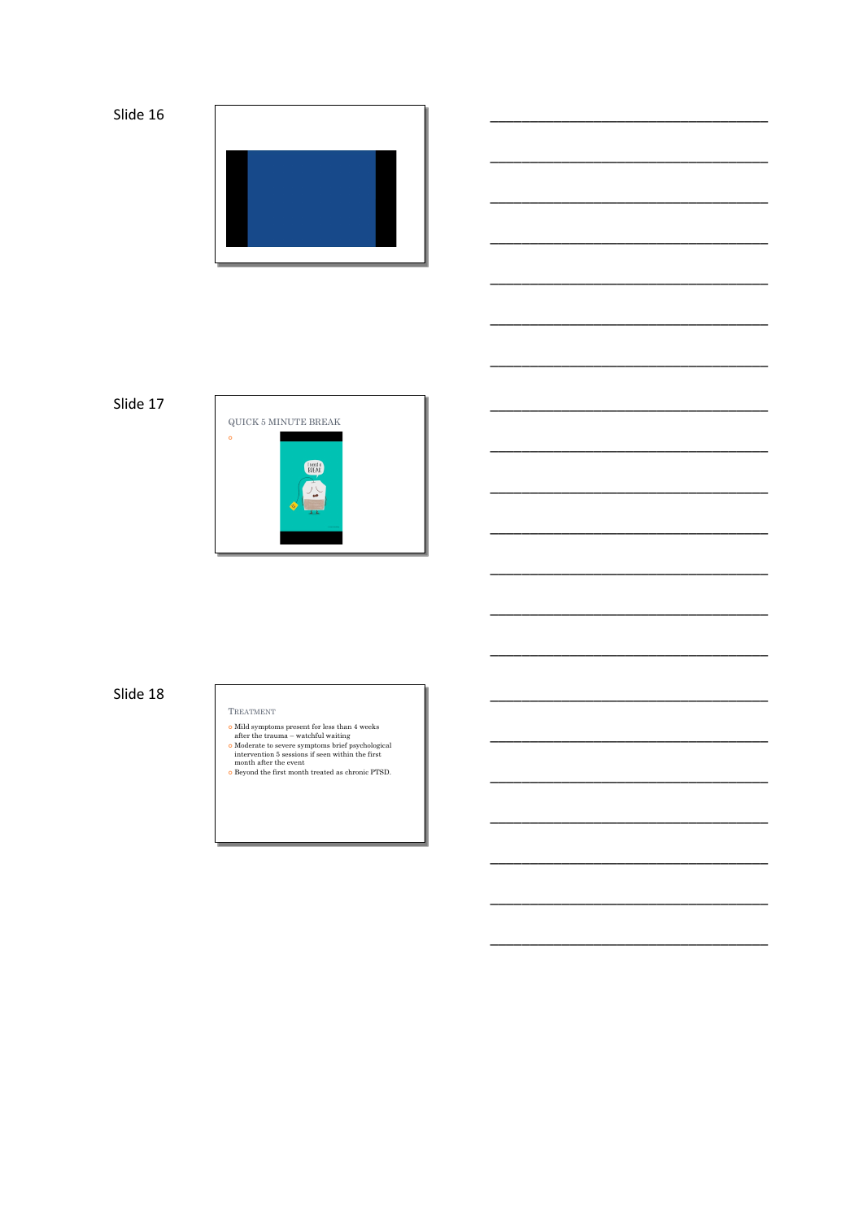



# Slide 17



# Slide 18

### TREATMENT

- 
- % Mild symptoms present for less than 4 weeks after the trauma watchful waiting  $\alpha$  Moderate to severe symptoms brief psychological intervention 5 sessions if seen within the first month after the event  $\alpha$  Beyond the
-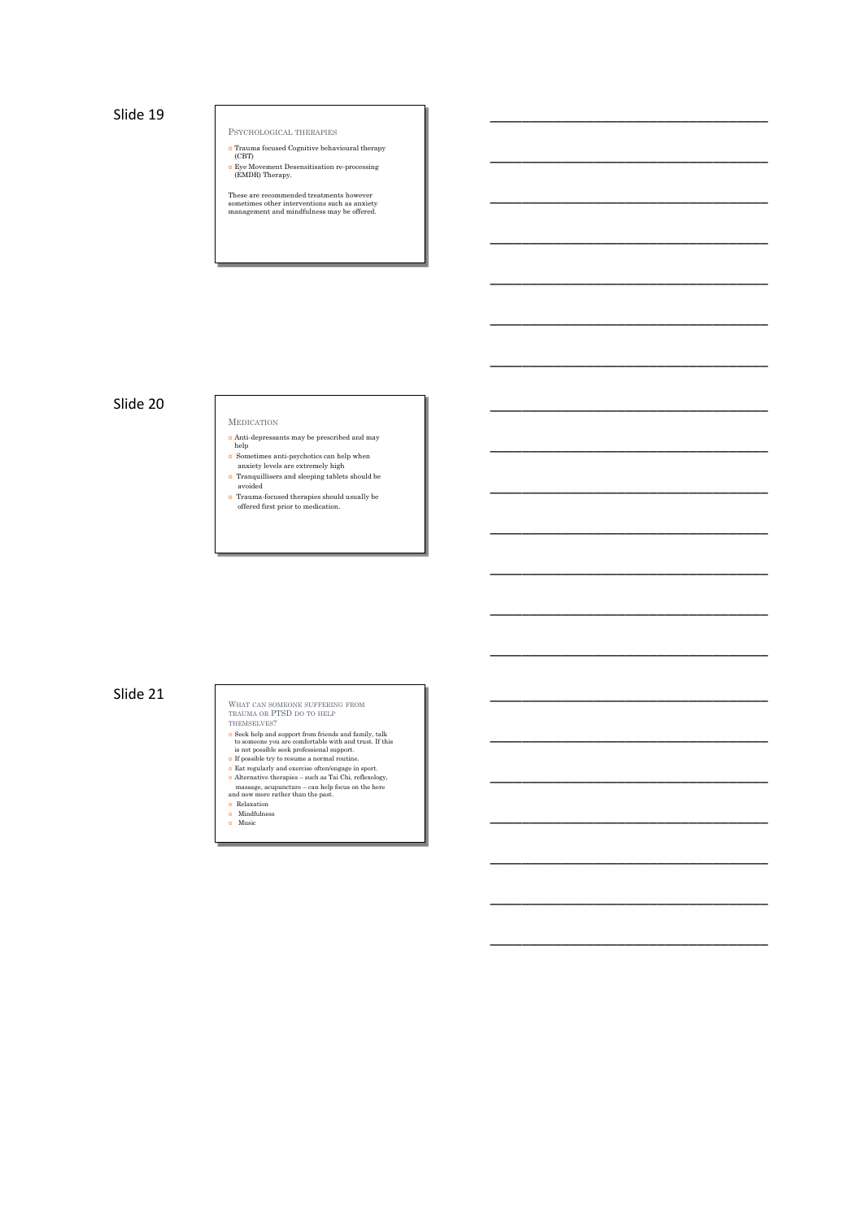Slide 19 \_\_\_\_\_\_\_\_\_\_\_\_\_\_\_\_\_\_\_\_\_\_\_\_\_\_\_\_\_\_\_\_\_\_\_

PSYCHOLOGICAL THERAPIES

¢ Trauma focused Cognitive behavioural therapy (CBT) ¢ Eye Movement Desensitisation re-processing (EMDR) Therapy.

\_\_\_\_\_\_\_\_\_\_\_\_\_\_\_\_\_\_\_\_\_\_\_\_\_\_\_\_\_\_\_\_\_\_\_

\_\_\_\_\_\_\_\_\_\_\_\_\_\_\_\_\_\_\_\_\_\_\_\_\_\_\_\_\_\_\_\_\_\_\_

\_\_\_\_\_\_\_\_\_\_\_\_\_\_\_\_\_\_\_\_\_\_\_\_\_\_\_\_\_\_\_\_\_\_\_

\_\_\_\_\_\_\_\_\_\_\_\_\_\_\_\_\_\_\_\_\_\_\_\_\_\_\_\_\_\_\_\_\_\_\_

\_\_\_\_\_\_\_\_\_\_\_\_\_\_\_\_\_\_\_\_\_\_\_\_\_\_\_\_\_\_\_\_\_\_\_

\_\_\_\_\_\_\_\_\_\_\_\_\_\_\_\_\_\_\_\_\_\_\_\_\_\_\_\_\_\_\_\_\_\_\_

\_\_\_\_\_\_\_\_\_\_\_\_\_\_\_\_\_\_\_\_\_\_\_\_\_\_\_\_\_\_\_\_\_\_\_

\_\_\_\_\_\_\_\_\_\_\_\_\_\_\_\_\_\_\_\_\_\_\_\_\_\_\_\_\_\_\_\_\_\_\_

\_\_\_\_\_\_\_\_\_\_\_\_\_\_\_\_\_\_\_\_\_\_\_\_\_\_\_\_\_\_\_\_\_\_\_

\_\_\_\_\_\_\_\_\_\_\_\_\_\_\_\_\_\_\_\_\_\_\_\_\_\_\_\_\_\_\_\_\_\_\_

\_\_\_\_\_\_\_\_\_\_\_\_\_\_\_\_\_\_\_\_\_\_\_\_\_\_\_\_\_\_\_\_\_\_\_

\_\_\_\_\_\_\_\_\_\_\_\_\_\_\_\_\_\_\_\_\_\_\_\_\_\_\_\_\_\_\_\_\_\_\_

\_\_\_\_\_\_\_\_\_\_\_\_\_\_\_\_\_\_\_\_\_\_\_\_\_\_\_\_\_\_\_\_\_\_\_

\_\_\_\_\_\_\_\_\_\_\_\_\_\_\_\_\_\_\_\_\_\_\_\_\_\_\_\_\_\_\_\_\_\_\_

\_\_\_\_\_\_\_\_\_\_\_\_\_\_\_\_\_\_\_\_\_\_\_\_\_\_\_\_\_\_\_\_\_\_\_

\_\_\_\_\_\_\_\_\_\_\_\_\_\_\_\_\_\_\_\_\_\_\_\_\_\_\_\_\_\_\_\_\_\_\_

\_\_\_\_\_\_\_\_\_\_\_\_\_\_\_\_\_\_\_\_\_\_\_\_\_\_\_\_\_\_\_\_\_\_\_

\_\_\_\_\_\_\_\_\_\_\_\_\_\_\_\_\_\_\_\_\_\_\_\_\_\_\_\_\_\_\_\_\_\_\_

These are recommended treatments however sometimes other interventions such as anxiety management and mindfulness may be offered.

## Slide 20 \_\_\_\_\_\_\_\_\_\_\_\_\_\_\_\_\_\_\_\_\_\_\_\_\_\_\_\_\_\_\_\_\_\_\_

- MEDICATION
- $\bullet$  Anti-depressants may be prescribed and may
- 
- help<br> **c** Sometimes anti-psychotics can help when<br>
anxiety levels are extremely high<br> **c** Tranquillisers and sleeping tablets should be<br>
avoided
- ¢ Trauma-focused therapies should usually be offered first prior to medication.

- Slide 21<br>
WHAT CAN SOMEONE SUFFERING FROM<br>
TRAUMA OR PTSD DO TO HELP<br>
THEMSELVES?<br>
Seek help and support from friends and family, talk<br>
to someons you are confiderable with and trust. If this<br>
to someons you are confiderab
	-
	-
	-
	-
	- ¢ Relaxation ¢ Mindfulness ¢ Music
	-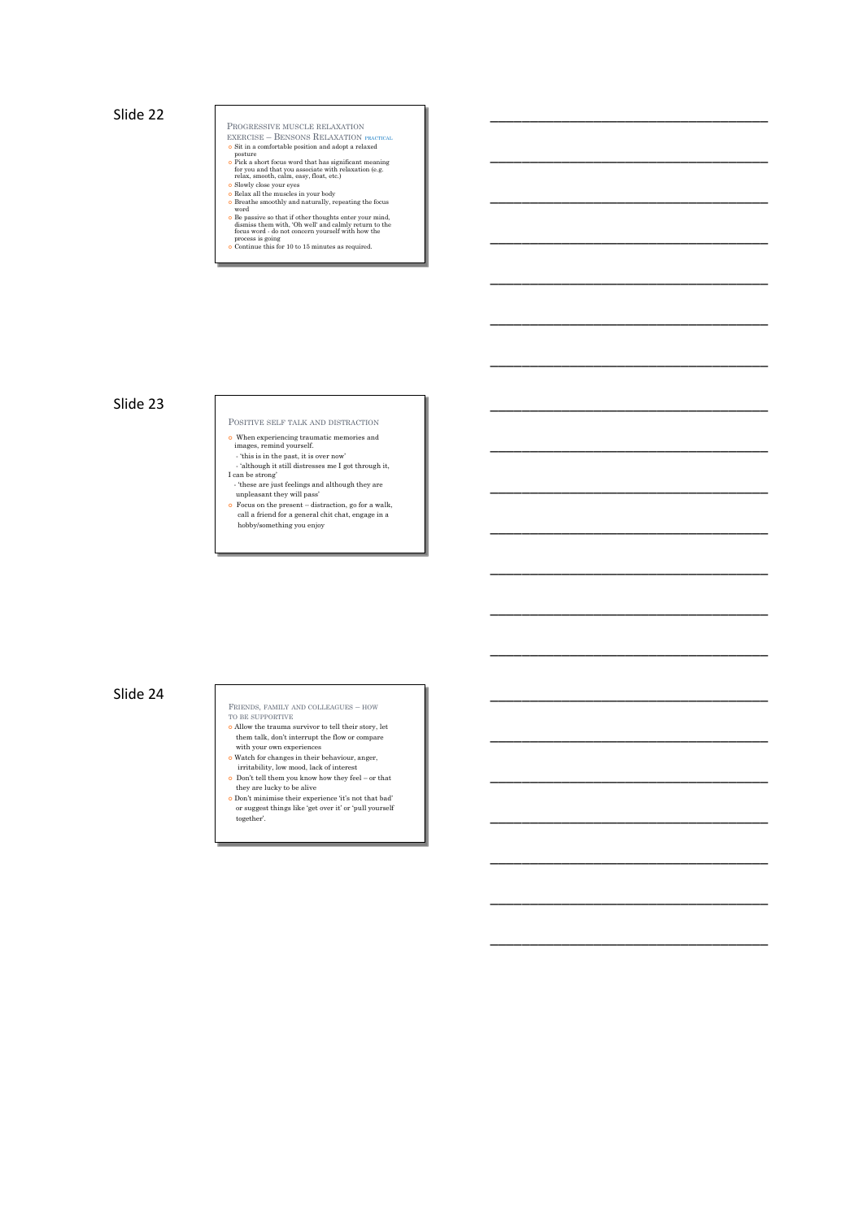Slide 22 \_\_\_\_\_\_\_\_\_\_\_\_\_\_\_\_\_\_\_\_\_\_\_\_\_\_\_\_\_\_\_\_\_\_\_

PROGRESSIVE MUSCLE RELAXATION

- 
- $\begin{tabular}{l} \bf EXERCISE-B-BENSONS RELAXATION PRACTICAL DSS in a comfortable position and adopt a relaxed point is positive. \end{tabular} The exact focus word that has significant meaning the way and that you associate with relaxation (e.g. 8 Show close your eyes. \end{tabular} and the two associates with relaxation (e.g. 8 Show close your eyes in your body of the other symbols. \end{tabular}$

\_\_\_\_\_\_\_\_\_\_\_\_\_\_\_\_\_\_\_\_\_\_\_\_\_\_\_\_\_\_\_\_\_\_\_

\_\_\_\_\_\_\_\_\_\_\_\_\_\_\_\_\_\_\_\_\_\_\_\_\_\_\_\_\_\_\_\_\_\_\_

\_\_\_\_\_\_\_\_\_\_\_\_\_\_\_\_\_\_\_\_\_\_\_\_\_\_\_\_\_\_\_\_\_\_\_

\_\_\_\_\_\_\_\_\_\_\_\_\_\_\_\_\_\_\_\_\_\_\_\_\_\_\_\_\_\_\_\_\_\_\_

\_\_\_\_\_\_\_\_\_\_\_\_\_\_\_\_\_\_\_\_\_\_\_\_\_\_\_\_\_\_\_\_\_\_\_

\_\_\_\_\_\_\_\_\_\_\_\_\_\_\_\_\_\_\_\_\_\_\_\_\_\_\_\_\_\_\_\_\_\_\_

\_\_\_\_\_\_\_\_\_\_\_\_\_\_\_\_\_\_\_\_\_\_\_\_\_\_\_\_\_\_\_\_\_\_\_

\_\_\_\_\_\_\_\_\_\_\_\_\_\_\_\_\_\_\_\_\_\_\_\_\_\_\_\_\_\_\_\_\_\_\_

\_\_\_\_\_\_\_\_\_\_\_\_\_\_\_\_\_\_\_\_\_\_\_\_\_\_\_\_\_\_\_\_\_\_\_

\_\_\_\_\_\_\_\_\_\_\_\_\_\_\_\_\_\_\_\_\_\_\_\_\_\_\_\_\_\_\_\_\_\_\_

\_\_\_\_\_\_\_\_\_\_\_\_\_\_\_\_\_\_\_\_\_\_\_\_\_\_\_\_\_\_\_\_\_\_\_

\_\_\_\_\_\_\_\_\_\_\_\_\_\_\_\_\_\_\_\_\_\_\_\_\_\_\_\_\_\_\_\_\_\_\_

\_\_\_\_\_\_\_\_\_\_\_\_\_\_\_\_\_\_\_\_\_\_\_\_\_\_\_\_\_\_\_\_\_\_\_

\_\_\_\_\_\_\_\_\_\_\_\_\_\_\_\_\_\_\_\_\_\_\_\_\_\_\_\_\_\_\_\_\_\_\_

\_\_\_\_\_\_\_\_\_\_\_\_\_\_\_\_\_\_\_\_\_\_\_\_\_\_\_\_\_\_\_\_\_\_\_

\_\_\_\_\_\_\_\_\_\_\_\_\_\_\_\_\_\_\_\_\_\_\_\_\_\_\_\_\_\_\_\_\_\_\_

\_\_\_\_\_\_\_\_\_\_\_\_\_\_\_\_\_\_\_\_\_\_\_\_\_\_\_\_\_\_\_\_\_\_\_

\_\_\_\_\_\_\_\_\_\_\_\_\_\_\_\_\_\_\_\_\_\_\_\_\_\_\_\_\_\_\_\_\_\_\_

- 
- 
- Be passive so that if other thoughts enter your mind, disniss them with, 'Oh well' and calmly return to the focus word do not concern yourself with how the process is going<br>• Octainus that is the control of the contin
- 

# Slide 23 \_\_\_\_\_\_\_\_\_\_\_\_\_\_\_\_\_\_\_\_\_\_\_\_\_\_\_\_\_\_\_\_\_\_\_

- POSITIVE SELF TALK AND DISTRACTION
- When experiencing traumatic memories and<br>images, remind yourself.<br>• this is in the past, it is over now<br>• although it still distresses me I got through it,<br>I can be strong<br>• these are just feelings and although they are
- 
- unpleasant they will pass' ¢ Focus on the present distraction, go for a walk, call a friend for a general chit chat, engage in a hobby/something you enjoy

## Slide 24 \_\_\_\_\_\_\_\_\_\_\_\_\_\_\_\_\_\_\_\_\_\_\_\_\_\_\_\_\_\_\_\_\_\_\_

### FRIENDS, FAMILY AND COLLEAGUES – HOW

- TO BE SUPPORTIVE  $\bullet$  Allow the trauma survivor to tell their story, let
- 
- 
- them talk, don't interrupt the flow or compare<br> **e** Watch for changes in their behaviour, anger,<br>
irritability, low mood, lack of interest<br> **o** Don't tell them you know how they feel or that
- they are lucky to be alive
- ¢ Don't minimise their experience 'it's not that bad' or suggest things like 'get over it' or 'pull yourself together'.